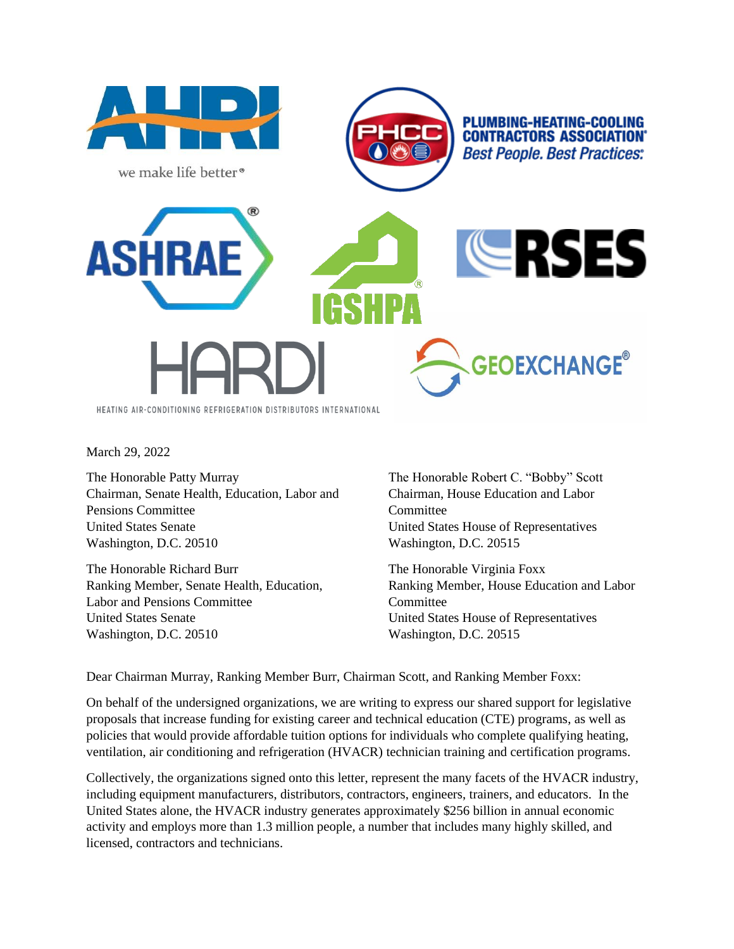

March 29, 2022

The Honorable Patty Murray Chairman, Senate Health, Education, Labor and Pensions Committee United States Senate Washington, D.C. 20510

The Honorable Richard Burr Ranking Member, Senate Health, Education, Labor and Pensions Committee United States Senate Washington, D.C. 20510

The Honorable Robert C. "Bobby" Scott Chairman, House Education and Labor **Committee** United States House of Representatives Washington, D.C. 20515

The Honorable Virginia Foxx Ranking Member, House Education and Labor **Committee** United States House of Representatives Washington, D.C. 20515

Dear Chairman Murray, Ranking Member Burr, Chairman Scott, and Ranking Member Foxx:

On behalf of the undersigned organizations, we are writing to express our shared support for legislative proposals that increase funding for existing career and technical education (CTE) programs, as well as policies that would provide affordable tuition options for individuals who complete qualifying heating, ventilation, air conditioning and refrigeration (HVACR) technician training and certification programs.

Collectively, the organizations signed onto this letter, represent the many facets of the HVACR industry, including equipment manufacturers, distributors, contractors, engineers, trainers, and educators. In the United States alone, the HVACR industry generates approximately \$256 billion in annual economic activity and employs more than 1.3 million people, a number that includes many highly skilled, and licensed, contractors and technicians.